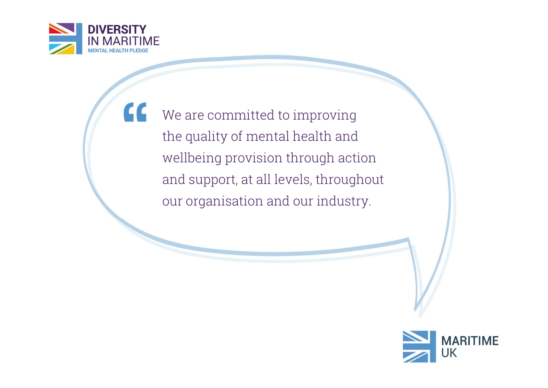

 $cc$ 

We are committed to improving the quality of mental health and wellbeing provision through action and support, at all levels, throughout our organisation and our industry.

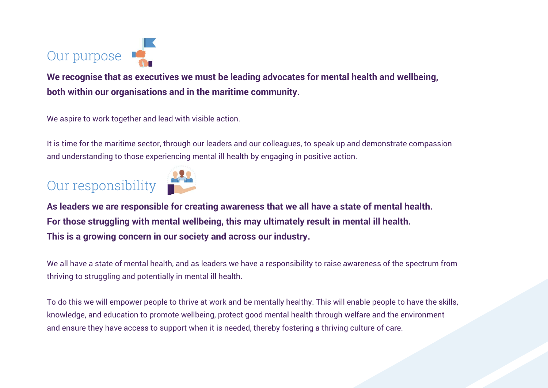

We recognise that as executives we must be leading advocates for mental health and wellbeing, both within our organisations and in the maritime community.

We aspire to work together and lead with visible action.

It is time for the maritime sector, through our leaders and our colleagues, to speak up and demonstrate compassion and understanding to those experiencing mental ill health by engaging in positive action.

## Our responsibility



As leaders we are responsible for creating awareness that we all have a state of mental health. For those struggling with mental wellbeing, this may ultimately result in mental ill health. This is a growing concern in our society and across our industry.

We all have a state of mental health, and as leaders we have a responsibility to raise awareness of the spectrum from thriving to struggling and potentially in mental ill health.

To do this we will empower people to thrive at work and be mentally healthy. This will enable people to have the skills, knowledge, and education to promote wellbeing, protect good mental health through welfare and the environment and ensure they have access to support when it is needed, thereby fostering a thriving culture of care.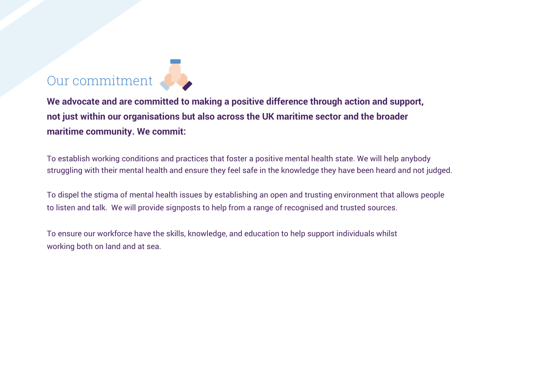## Our commitment

We advocate and are committed to making a positive difference through action and support, not just within our organisations but also across the UK maritime sector and the broader maritime community. We commit:

To establish working conditions and practices that foster a positive mental health state. We will help anybody struggling with their mental health and ensure they feel safe in the knowledge they have been heard and not judged.

To dispel the stigma of mental health issues by establishing an open and trusting environment that allows people to listen and talk. We will provide signposts to help from a range of recognised and trusted sources.

To ensure our workforce have the skills, knowledge, and education to help support individuals whilst working both on land and at sea.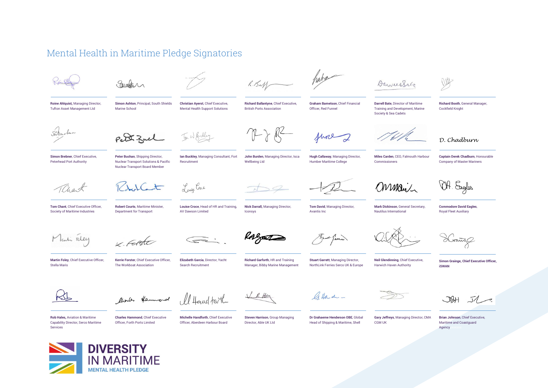## Mental Health in Maritime Pledge Signatories



Eauthor

 $R.H.M$ 

habe

 $\overline{\mathcal{L}}$ 

DarvertSale

Roine Ahlquist, Managing Director, Tufton Asset Management Ltd

Simon Ashton, Principal, South Shields Marine School

Christian Ayerst, Chief Executive, Mental Health Support Solutions

Richard Ballantyne, Chief Executive, British Ports Association

 $\rightarrow R$ 

Graham Barnetson, Chief Financial Officer, Red Funnel

Darrell Bate, Director of Maritime Training and Development, Marine Society & Sea Cadets

Richard Booth, General Manager, Cockfield Knight

 $\bigcap$ 

D. Chadburn

Sabribun

Simon Brebner, Chief Executive, Peterhead Port Authority

Peter Zuel

Peter Buchan, Shipping Director, Nuclear Transport Solutions & Pacific Nuclear Transport Board Member

Ian Buckley, Managing Consultant, Fort Recruitment

Louise Croce, Head of HR and Training,

AV Dawson Limited

Louise Croce

John Burden, Managing Director, Isca Wellbeing Ltd

Hugh Callaway, Managing Director, Humber Maritime College

fune

Miles Carden, CEO, Falmouth Harbour Commissioners

Captain Derek Chadburn, Honourable Company of Master Mariners

OH. Engles

Onmail

Mark Dickinson, General Secretary, Nautilus International

Commodore David Eagles, Royal Fleet Auxiliary

Man Feley

Martin Foley, Chief Executive Officer,

Tom Chant, Chief Executive Officer, Society of Maritime Industries

auch

V Farte

Kerrie Forster, Chief Executive Officer, The Workboat Association

Robert Courts, Maritime Minister, Department for Transport

**Stuart Garrett, Managing Director,** NorthLink Ferries Serco UK & Europe

Crains

Simon Grainge, Chief Executive Officer,  $i$ SWAN



Stella Maris

looks Hammond Il Hourd torth

V R Hay

Atlade -

Neil Glendinning, Chief Executive, Harwich Haven Authority

 $36H 512$ 

Rob Hales, Aviation & Maritime Capability Director, Serco Maritime Services

Charles Hammond, Chief Executive Officer, Forth Ports Limited

Michelle Handforth, Chief Executive Officer, Aberdeen Harbour Board

Elizabeth Garcia, Director, Yacht Search Recruitment

Steven Harrison, Group Managing Director, Able UK Ltd

Dr Grahaeme Henderson OBE, Global Head of Shipping & Maritime, Shell

Gary Jeffreys, Managing Director, CMA CGM UK

Brian Johnson, Chief Executive, Maritime and Coastguard Agency



Iconsys

Richard Garforth, HR and Training Manager, Bibby Marine Management

Nick Darrall, Managing Director, Tom David, Managing Director,

Avantis Inc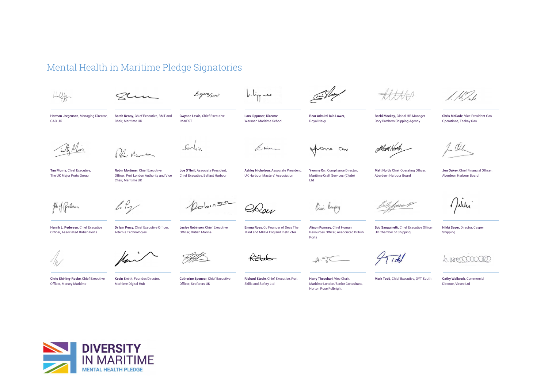## Mental Health in Maritime Pledge Signatories

 $h \cdot h_{rr}$   $-$ Gwynnefewis  $H_0$ Zhu Herman Jorgensen, Managing Director, Sarah Kenny, Chief Executive, BMT and Gwynne Lewis, Chief Executive Rear Admiral Iain Lower, Becki Mackay, Global HR Manager Chris McDade, Vice President Gas Lars Lippuner, Director GAC UK Chair, Maritime UK IMarEST Warsash Maritime School Royal Navy Cory Brothers Shipping Agency Operations, Teekay Gas  $F_{\alpha}$ Arima france on  $21.4-$ Tim Morris, Chief Executive, Robin Mortimer, Chief Executive Joe O'Neill, Associate President, Ashley Nicholson, Associate President, Yvonne Orr, Compliance Director, Matt North, Chief Operating Officer, Jon Oakey, Chief Financial Officer, The UK Major Ports Group Officer, Port London Authority and Vice Chief Executive, Belfast Harbour UK Harbour Masters' Association Maritime Craft Services (Clyde) Aberdeen Harbour Board Aberdeen Harbour Board Chair, Maritime UK  $L$ td  $20b11502$ Julia lily Rou Cusa Ruspey Heh of Redeser f*ruu* b Henrik L. Pedersen, Chief Executive Dr Iain Percy, Chief Executive Officer, Lesley Robinson, Chief Executive Emma Ross, Co Founder of Seas The Alison Rumsey, Chief Human Bob Sanguinetti, Chief Executive Officer, Nikki Sayer, Director, Casper Officer, Associated British Ports Artemis Technologies Officer, British Marine Mind and MHFA England Instructor Resources Officer, Associated British UK Chamber of Shipping Shipping  $Porte$  $\overline{1}$ Chris Shirling-Rooke, Chief Executive Kevin Smith, Founder/Director, Catherine Spencer, Chief Executive Richard Steele, Chief Executive, Port Harry Theochari, Vice Chair, Mark Todd, Chief Executive, OYT South Cathy Wallwork, Commercial Officer, Mersey Maritime Maritime Digital Hub Officer, Seafarers UK Skills and Safety Ltd Maritime London/Senior Consultant, Director, Virsec Ltd. Norton Rose Fulbright